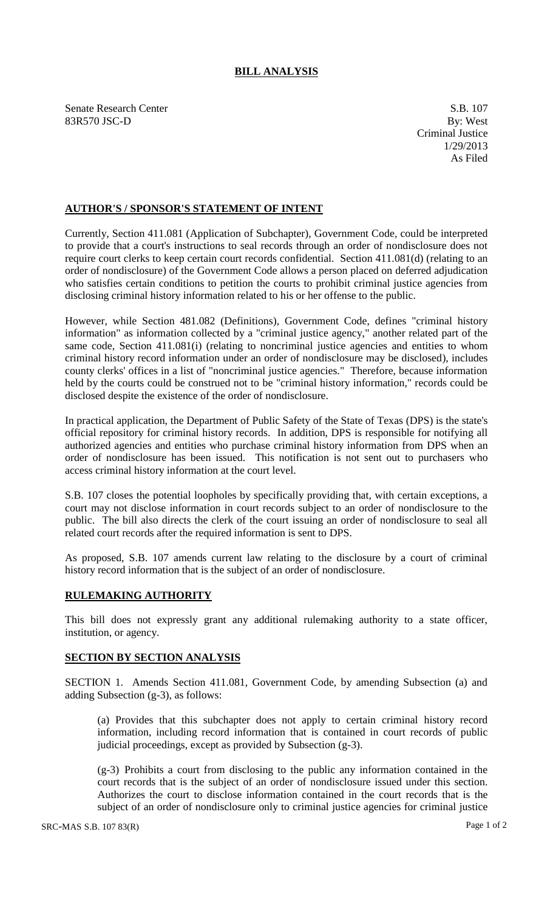## **BILL ANALYSIS**

Senate Research Center S.B. 107 83R570 JSC-D By: West

## **AUTHOR'S / SPONSOR'S STATEMENT OF INTENT**

Currently, Section 411.081 (Application of Subchapter), Government Code, could be interpreted to provide that a court's instructions to seal records through an order of nondisclosure does not require court clerks to keep certain court records confidential. Section 411.081(d) (relating to an order of nondisclosure) of the Government Code allows a person placed on deferred adjudication who satisfies certain conditions to petition the courts to prohibit criminal justice agencies from disclosing criminal history information related to his or her offense to the public.

However, while Section 481.082 (Definitions), Government Code, defines "criminal history information" as information collected by a "criminal justice agency," another related part of the same code, Section 411.081(i) (relating to noncriminal justice agencies and entities to whom criminal history record information under an order of nondisclosure may be disclosed), includes county clerks' offices in a list of "noncriminal justice agencies." Therefore, because information held by the courts could be construed not to be "criminal history information," records could be disclosed despite the existence of the order of nondisclosure.

In practical application, the Department of Public Safety of the State of Texas (DPS) is the state's official repository for criminal history records. In addition, DPS is responsible for notifying all authorized agencies and entities who purchase criminal history information from DPS when an order of nondisclosure has been issued. This notification is not sent out to purchasers who access criminal history information at the court level.

S.B. 107 closes the potential loopholes by specifically providing that, with certain exceptions, a court may not disclose information in court records subject to an order of nondisclosure to the public. The bill also directs the clerk of the court issuing an order of nondisclosure to seal all related court records after the required information is sent to DPS.

As proposed, S.B. 107 amends current law relating to the disclosure by a court of criminal history record information that is the subject of an order of nondisclosure.

## **RULEMAKING AUTHORITY**

This bill does not expressly grant any additional rulemaking authority to a state officer, institution, or agency.

## **SECTION BY SECTION ANALYSIS**

SECTION 1. Amends Section 411.081, Government Code, by amending Subsection (a) and adding Subsection (g-3), as follows:

(a) Provides that this subchapter does not apply to certain criminal history record information, including record information that is contained in court records of public judicial proceedings, except as provided by Subsection (g-3).

(g-3) Prohibits a court from disclosing to the public any information contained in the court records that is the subject of an order of nondisclosure issued under this section. Authorizes the court to disclose information contained in the court records that is the subject of an order of nondisclosure only to criminal justice agencies for criminal justice